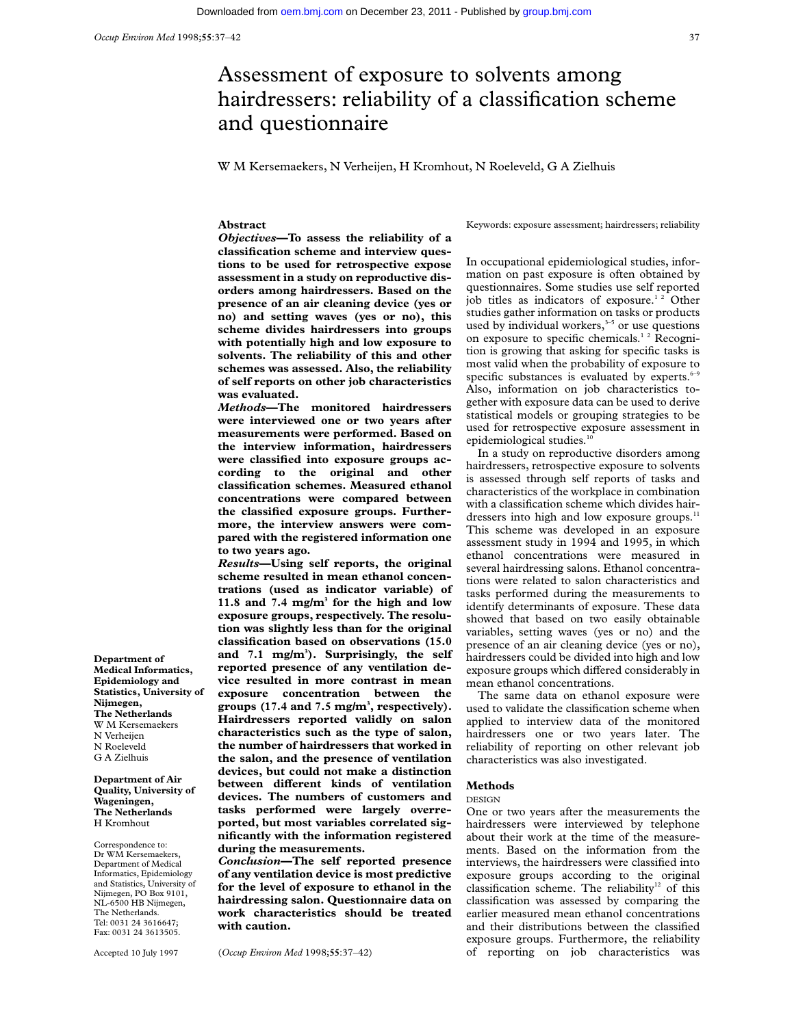# Assessment of exposure to solvents among hairdressers: reliability of a classification scheme and questionnaire

W M Kersemaekers, N Verheijen, H Kromhout, N Roeleveld, G A Zielhuis

### **Abstract**

*Objectives***—To assess the reliability of a classification scheme and interview questions to be used for retrospective expose assessment in a study on reproductive disorders among hairdressers. Based on the presence of an air cleaning device (yes or no) and setting waves (yes or no), this scheme divides hairdressers into groups with potentially high and low exposure to solvents. The reliability of this and other schemes was assessed. Also, the reliability of self reports on other job characteristics was evaluated.**

*Methods***—The monitored hairdressers were interviewed one or two years after measurements were performed. Based on the interview information, hairdressers were classified into exposure groups according to the original and other classification schemes. Measured ethanol concentrations were compared between the classified exposure groups. Furthermore, the interview answers were compared with the registered information one to two years ago.**

*Results***—Using self reports, the original scheme resulted in mean ethanol concentrations (used as indicator variable) of 11.8 and 7.4 mg/m3 for the high and low exposure groups, respectively. The resolution was slightly less than for the original classification based on observations (15.0 and 7.1 mg/m3 ). Surprisingly, the self reported presence of any ventilation device resulted in more contrast in mean exposure concentration between the groups (17.4 and 7.5 mg/m3 , respectively). Hairdressers reported validly on salon characteristics such as the type of salon, the number of hairdressers that worked in the salon, and the presence of ventilation devices, but could not make a distinction between** different kinds of ventilation **devices. The numbers of customers and tasks performed were largely overreported, but most variables correlated significantly with the information registered during the measurements.**

*Conclusion***—The self reported presence of any ventilation device is most predictive for the level of exposure to ethanol in the hairdressing salon. Questionnaire data on work characteristics should be treated with caution.**

Accepted 10 July 1997

(*Occup Environ Med* 1998;**55**:37–42)

#### Keywords: exposure assessment; hairdressers; reliability

In occupational epidemiological studies, information on past exposure is often obtained by questionnaires. Some studies use self reported job titles as indicators of exposure.<sup>12</sup> Other studies gather information on tasks or products used by individual workers, $3-5$  or use questions on exposure to specific chemicals.<sup>12</sup> Recognition is growing that asking for specific tasks is most valid when the probability of exposure to specific substances is evaluated by experts. $6-9$ Also, information on job characteristics together with exposure data can be used to derive statistical models or grouping strategies to be used for retrospective exposure assessment in epidemiological studies.<sup>10</sup>

In a study on reproductive disorders among hairdressers, retrospective exposure to solvents is assessed through self reports of tasks and characteristics of the workplace in combination with a classification scheme which divides hairdressers into high and low exposure groups.<sup>11</sup> This scheme was developed in an exposure assessment study in 1994 and 1995, in which ethanol concentrations were measured in several hairdressing salons. Ethanol concentrations were related to salon characteristics and tasks performed during the measurements to identify determinants of exposure. These data showed that based on two easily obtainable variables, setting waves (yes or no) and the presence of an air cleaning device (yes or no), hairdressers could be divided into high and low exposure groups which differed considerably in mean ethanol concentrations.

The same data on ethanol exposure were used to validate the classification scheme when applied to interview data of the monitored hairdressers one or two years later. The reliability of reporting on other relevant job characteristics was also investigated.

#### **Methods**

#### DESIGN

One or two years after the measurements the hairdressers were interviewed by telephone about their work at the time of the measurements. Based on the information from the interviews, the hairdressers were classified into exposure groups according to the original classification scheme. The reliability<sup>12</sup> of this classification was assessed by comparing the earlier measured mean ethanol concentrations and their distributions between the classified exposure groups. Furthermore, the reliability of reporting on job characteristics was

**Department of Medical Informatics, Epidemiology and Statistics, University of Nijmegen, The Netherlands** W M Kersemaekers N Verheijen N Roeleveld G A Zielhuis

#### **Department of Air Quality, University of Wageningen, The Netherlands** H Kromhout

Correspondence to: Dr WM Kersemaekers, Department of Medical Informatics, Epidemiology and Statistics, University of Nijmegen, PO Box 9101, NL-6500 HB Nijmegen, The Netherlands. Tel: 0031 24 3616647; Fax: 0031 24 3613505.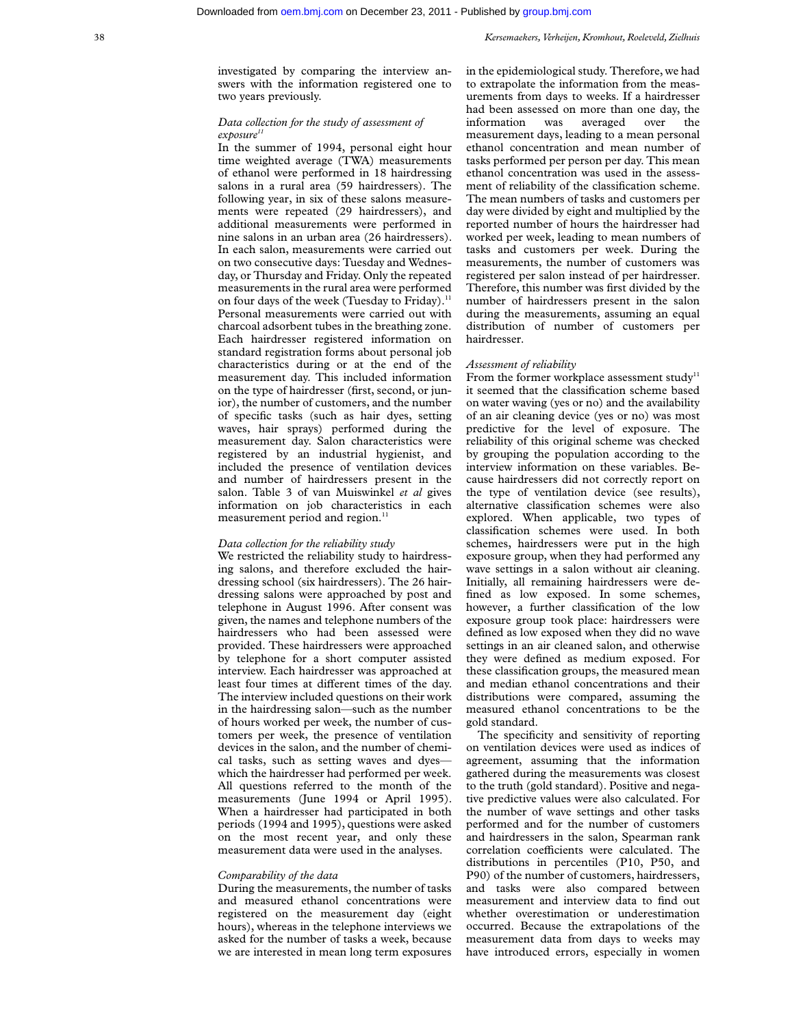investigated by comparing the interview answers with the information registered one to two years previously.

## *Data collection for the study of assessment of*  $exposure<sup>11</sup>$

In the summer of 1994, personal eight hour time weighted average (TWA) measurements of ethanol were performed in 18 hairdressing salons in a rural area (59 hairdressers). The following year, in six of these salons measurements were repeated (29 hairdressers), and additional measurements were performed in nine salons in an urban area (26 hairdressers). In each salon, measurements were carried out on two consecutive days: Tuesday and Wednesday, or Thursday and Friday. Only the repeated measurements in the rural area were performed on four days of the week (Tuesday to Friday).<sup>1</sup> Personal measurements were carried out with charcoal adsorbent tubes in the breathing zone. Each hairdresser registered information on standard registration forms about personal job characteristics during or at the end of the measurement day. This included information on the type of hairdresser (first, second, or junior), the number of customers, and the number of specific tasks (such as hair dyes, setting waves, hair sprays) performed during the measurement day. Salon characteristics were registered by an industrial hygienist, and included the presence of ventilation devices and number of hairdressers present in the salon. Table 3 of van Muiswinkel *et al* gives information on job characteristics in each measurement period and region.<sup>11</sup>

### *Data collection for the reliability study*

We restricted the reliability study to hairdressing salons, and therefore excluded the hairdressing school (six hairdressers). The 26 hairdressing salons were approached by post and telephone in August 1996. After consent was given, the names and telephone numbers of the hairdressers who had been assessed were provided. These hairdressers were approached by telephone for a short computer assisted interview. Each hairdresser was approached at least four times at different times of the day. The interview included questions on their work in the hairdressing salon—such as the number of hours worked per week, the number of customers per week, the presence of ventilation devices in the salon, and the number of chemical tasks, such as setting waves and dyes which the hairdresser had performed per week. All questions referred to the month of the measurements (June 1994 or April 1995). When a hairdresser had participated in both periods (1994 and 1995), questions were asked on the most recent year, and only these measurement data were used in the analyses.

## *Comparability of the data*

During the measurements, the number of tasks and measured ethanol concentrations were registered on the measurement day (eight hours), whereas in the telephone interviews we asked for the number of tasks a week, because we are interested in mean long term exposures

in the epidemiological study. Therefore, we had to extrapolate the information from the measurements from days to weeks. If a hairdresser had been assessed on more than one day, the information was averaged over the measurement days, leading to a mean personal ethanol concentration and mean number of tasks performed per person per day. This mean ethanol concentration was used in the assessment of reliability of the classification scheme. The mean numbers of tasks and customers per day were divided by eight and multiplied by the reported number of hours the hairdresser had worked per week, leading to mean numbers of tasks and customers per week. During the measurements, the number of customers was registered per salon instead of per hairdresser. Therefore, this number was first divided by the number of hairdressers present in the salon during the measurements, assuming an equal distribution of number of customers per hairdresser.

## *Assessment of reliability*

From the former workplace assessment study<sup>11</sup> it seemed that the classification scheme based on water waving (yes or no) and the availability of an air cleaning device (yes or no) was most predictive for the level of exposure. The reliability of this original scheme was checked by grouping the population according to the interview information on these variables. Because hairdressers did not correctly report on the type of ventilation device (see results), alternative classification schemes were also explored. When applicable, two types of classification schemes were used. In both schemes, hairdressers were put in the high exposure group, when they had performed any wave settings in a salon without air cleaning. Initially, all remaining hairdressers were defined as low exposed. In some schemes, however, a further classification of the low exposure group took place: hairdressers were defined as low exposed when they did no wave settings in an air cleaned salon, and otherwise they were defined as medium exposed. For these classification groups, the measured mean and median ethanol concentrations and their distributions were compared, assuming the measured ethanol concentrations to be the gold standard.

The specificity and sensitivity of reporting on ventilation devices were used as indices of agreement, assuming that the information gathered during the measurements was closest to the truth (gold standard). Positive and negative predictive values were also calculated. For the number of wave settings and other tasks performed and for the number of customers and hairdressers in the salon, Spearman rank correlation coefficients were calculated. The distributions in percentiles (P10, P50, and P90) of the number of customers, hairdressers, and tasks were also compared between measurement and interview data to find out whether overestimation or underestimation occurred. Because the extrapolations of the measurement data from days to weeks may have introduced errors, especially in women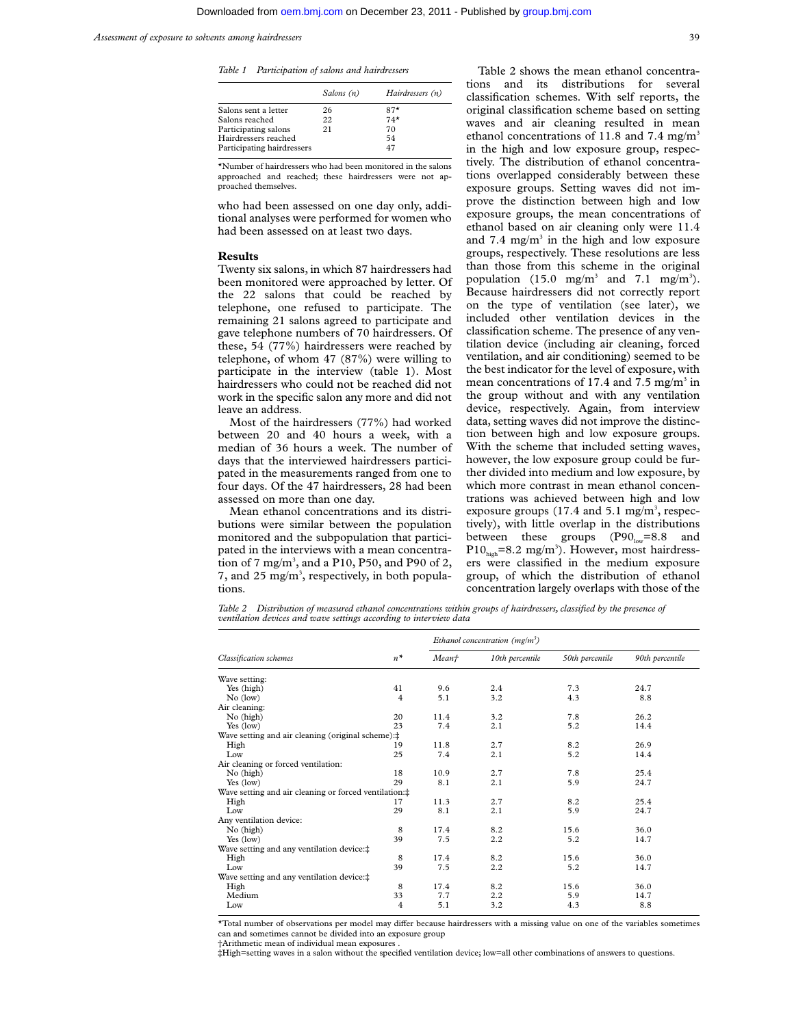*Assessment of exposure to solvents among hairdressers* 39

*Table 1 Participation of salons and hairdressers*

|                            | Salons (n) | Hairdressers (n) |
|----------------------------|------------|------------------|
| Salons sent a letter       | 26         | $87*$            |
| Salons reached             | 22         | $74*$            |
| Participating salons       | 21         | 70               |
| Hairdressers reached       |            | 54               |
| Participating hairdressers |            | 47               |

\*Number of hairdressers who had been monitored in the salons approached and reached; these hairdressers were not approached themselves.

who had been assessed on one day only, additional analyses were performed for women who had been assessed on at least two days.

#### **Results**

Twenty six salons, in which 87 hairdressers had been monitored were approached by letter. Of the 22 salons that could be reached by telephone, one refused to participate. The remaining 21 salons agreed to participate and gave telephone numbers of 70 hairdressers. Of these, 54 (77%) hairdressers were reached by telephone, of whom 47 (87%) were willing to participate in the interview (table 1). Most hairdressers who could not be reached did not work in the specific salon any more and did not leave an address.

Most of the hairdressers (77%) had worked between 20 and 40 hours a week, with a median of 36 hours a week. The number of days that the interviewed hairdressers participated in the measurements ranged from one to four days. Of the 47 hairdressers, 28 had been assessed on more than one day.

Mean ethanol concentrations and its distributions were similar between the population monitored and the subpopulation that participated in the interviews with a mean concentration of 7 mg/m<sup>3</sup>, and a P10, P50, and P90 of 2, 7, and  $25 \text{ mg/m}^3$ , respectively, in both populations.

Table 2 shows the mean ethanol concentrations and its distributions for several classification schemes. With self reports, the original classification scheme based on setting waves and air cleaning resulted in mean ethanol concentrations of 11.8 and 7.4 mg/m<sup>3</sup> in the high and low exposure group, respectively. The distribution of ethanol concentrations overlapped considerably between these exposure groups. Setting waves did not improve the distinction between high and low exposure groups, the mean concentrations of ethanol based on air cleaning only were 11.4 and 7.4 mg/m<sup>3</sup> in the high and low exposure groups, respectively. These resolutions are less than those from this scheme in the original population (15.0 mg/m<sup>3</sup> and 7.1 mg/m<sup>3</sup>). Because hairdressers did not correctly report on the type of ventilation (see later), we included other ventilation devices in the classification scheme. The presence of any ventilation device (including air cleaning, forced ventilation, and air conditioning) seemed to be the best indicator for the level of exposure, with mean concentrations of 17.4 and 7.5 mg/m<sup>3</sup> in the group without and with any ventilation device, respectively. Again, from interview data, setting waves did not improve the distinction between high and low exposure groups. With the scheme that included setting waves, however, the low exposure group could be further divided into medium and low exposure, by which more contrast in mean ethanol concentrations was achieved between high and low exposure groups (17.4 and 5.1 mg/m<sup>3</sup>, respectively), with little overlap in the distributions between these groups  $(P90)_{low}=8.8$  and  $P10_{high}$ =8.2 mg/m<sup>3</sup>). However, most hairdressers were classified in the medium exposure group, of which the distribution of ethanol concentration largely overlaps with those of the

*Table 2 Distribution of measured ethanol concentrations within groups of hairdressers, classified by the presence of ventilation devices and wave settings according to interview data*

|                                                       |       | Ethanol concentration ( $mg/m3$ ) |                 |                 |                 |  |  |
|-------------------------------------------------------|-------|-----------------------------------|-----------------|-----------------|-----------------|--|--|
| <b>Classification</b> schemes                         | $n^*$ | Mean†                             | 10th percentile | 50th percentile | 90th percentile |  |  |
| Wave setting:                                         |       |                                   |                 |                 |                 |  |  |
| Yes (high)                                            | 41    | 9.6                               | 2.4             | 7.3             | 24.7            |  |  |
| No (low)                                              | 4     | 5.1                               | 3.2             | 4.3             | 8.8             |  |  |
| Air cleaning:                                         |       |                                   |                 |                 |                 |  |  |
| No (high)                                             | 20    | 11.4                              | 3.2             | 7.8             | 26.2            |  |  |
| Yes (low)                                             | 23    | 7.4                               | 2.1             | 5.2             | 14.4            |  |  |
| Wave setting and air cleaning (original scheme):#     |       |                                   |                 |                 |                 |  |  |
| High                                                  | 19    | 11.8                              | 2.7             | 8.2             | 26.9            |  |  |
| Low                                                   | 25    | 7.4                               | 2.1             | 5.2             | 14.4            |  |  |
| Air cleaning or forced ventilation:                   |       |                                   |                 |                 |                 |  |  |
| No (high)                                             | 18    | 10.9                              | 2.7             | 7.8             | 25.4            |  |  |
| Yes (low)                                             | 29    | 8.1                               | 2.1             | 5.9             | 24.7            |  |  |
| Wave setting and air cleaning or forced ventilation:# |       |                                   |                 |                 |                 |  |  |
| High                                                  | 17    | 11.3                              | 2.7             | 8.2             | 25.4            |  |  |
| Low                                                   | 29    | 8.1                               | 2.1             | 5.9             | 24.7            |  |  |
| Any ventilation device:                               |       |                                   |                 |                 |                 |  |  |
| No (high)                                             | 8     | 17.4                              | 8.2             | 15.6            | 36.0            |  |  |
| Yes (low)                                             | 39    | 7.5                               | 2.2             | 5.2             | 14.7            |  |  |
| Wave setting and any ventilation device:#             |       |                                   |                 |                 |                 |  |  |
| High                                                  | 8     | 17.4                              | 8.2             | 15.6            | 36.0            |  |  |
| Low                                                   | 39    | 7.5                               | 2.2             | 5.2             | 14.7            |  |  |
| Wave setting and any ventilation device:#             |       |                                   |                 |                 |                 |  |  |
| High                                                  | 8     | 17.4                              | 8.2             | 15.6            | 36.0            |  |  |
| Medium                                                | 33    | 7.7                               | 2.2             | 5.9             | 14.7            |  |  |
| Low                                                   | 4     | 5.1                               | 3.2             | 4.3             | 8.8             |  |  |

\*Total number of observations per model may differ because hairdressers with a missing value on one of the variables sometimes can and sometimes cannot be divided into an exposure group

†Arithmetic mean of individual mean exposures .

‡High=setting waves in a salon without the specified ventilation device; low=all other combinations of answers to questions.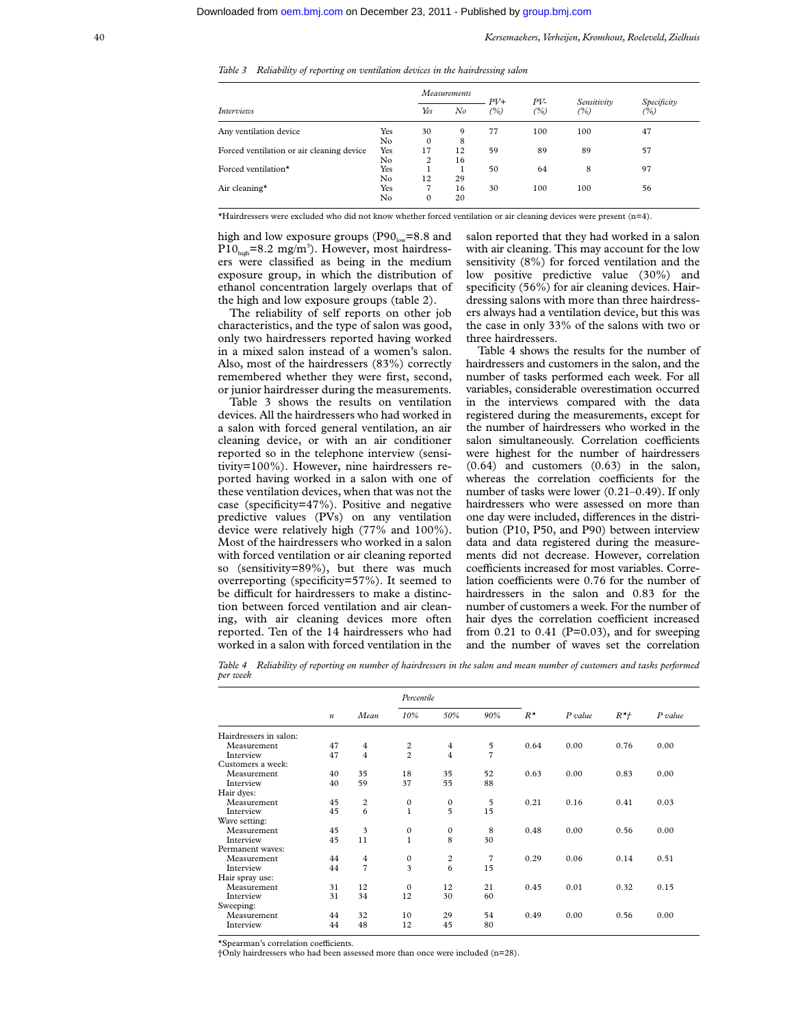*Table 3 Reliability of reporting on ventilation devices in the hairdressing salon*

|                                           |     |          | Measurements |              | PV-<br>(%) | Sensitivity<br>(%) |                    |
|-------------------------------------------|-----|----------|--------------|--------------|------------|--------------------|--------------------|
| <i>Interviews</i>                         |     | Yes      | No           | $PV+$<br>(%) |            |                    | Specificity<br>(%) |
| Any ventilation device                    | Yes | 30       | 9            | 77           | 100        | 100                | 47                 |
|                                           | No  | $\Omega$ | 8            |              |            |                    |                    |
| Forced ventilation or air cleaning device | Yes | 17       | 12           | 59           | 89         | 89                 | 57                 |
|                                           | No  | 2        | 16           |              |            |                    |                    |
| Forced ventilation*                       | Yes |          |              | 50           | 64         | 8                  | 97                 |
|                                           | No  | 12       | 29           |              |            |                    |                    |
| Air cleaning $\star$                      | Yes | 7        | 16           | 30           | 100        | 100                | 56                 |
|                                           | No  | $\Omega$ | 20           |              |            |                    |                    |

\*Hairdressers were excluded who did not know whether forced ventilation or air cleaning devices were present (n=4).

high and low exposure groups  $(P90)_{low}=8.8$  and  $P10<sub>high</sub>=8.2 mg/m<sup>3</sup>$ ). However, most hairdressers were classified as being in the medium exposure group, in which the distribution of ethanol concentration largely overlaps that of the high and low exposure groups (table 2).

The reliability of self reports on other job characteristics, and the type of salon was good, only two hairdressers reported having worked in a mixed salon instead of a women's salon. Also, most of the hairdressers (83%) correctly remembered whether they were first, second, or junior hairdresser during the measurements.

Table 3 shows the results on ventilation devices. All the hairdressers who had worked in a salon with forced general ventilation, an air cleaning device, or with an air conditioner reported so in the telephone interview (sensitivity=100%). However, nine hairdressers reported having worked in a salon with one of these ventilation devices, when that was not the case (specificity=47%). Positive and negative predictive values (PVs) on any ventilation device were relatively high (77% and 100%). Most of the hairdressers who worked in a salon with forced ventilation or air cleaning reported so (sensitivity=89%), but there was much overreporting (specificity=57%). It seemed to be difficult for hairdressers to make a distinction between forced ventilation and air cleaning, with air cleaning devices more often reported. Ten of the 14 hairdressers who had worked in a salon with forced ventilation in the

salon reported that they had worked in a salon with air cleaning. This may account for the low sensitivity (8%) for forced ventilation and the low positive predictive value (30%) and specificity (56%) for air cleaning devices. Hairdressing salons with more than three hairdressers always had a ventilation device, but this was the case in only 33% of the salons with two or three hairdressers.

Table 4 shows the results for the number of hairdressers and customers in the salon, and the number of tasks performed each week. For all variables, considerable overestimation occurred in the interviews compared with the data registered during the measurements, except for the number of hairdressers who worked in the salon simultaneously. Correlation coefficients were highest for the number of hairdressers (0.64) and customers (0.63) in the salon, whereas the correlation coefficients for the number of tasks were lower (0.21–0.49). If only hairdressers who were assessed on more than one day were included, differences in the distribution (P10, P50, and P90) between interview data and data registered during the measurements did not decrease. However, correlation coefficients increased for most variables. Correlation coefficients were 0.76 for the number of hairdressers in the salon and 0.83 for the number of customers a week. For the number of hair dyes the correlation coefficient increased from  $0.21$  to  $0.41$  (P=0.03), and for sweeping and the number of waves set the correlation

*Table 4 Reliability of reporting on number of hairdressers in the salon and mean number of customers and tasks performed per week*

|                        | $\boldsymbol{n}$ |                | Percentile              |                  |                |       |         |        |         |
|------------------------|------------------|----------------|-------------------------|------------------|----------------|-------|---------|--------|---------|
|                        |                  | Mean           | 10%                     | 50%              | 90%            | $R^*$ | P value | $R^*f$ | P value |
| Hairdressers in salon: |                  |                |                         |                  |                |       |         |        |         |
| Measurement            | 47               | 4              | 2                       | 4                | $\frac{5}{7}$  | 0.64  | 0.00    | 0.76   | 0.00    |
| Interview              | 47               | $\overline{4}$ | $\overline{c}$          | $\overline{4}$   |                |       |         |        |         |
| Customers a week:      |                  |                |                         |                  |                |       |         |        |         |
| Measurement            | 40               | 35             | 18                      | 35               | 52             | 0.63  | 0.00    | 0.83   | 0.00    |
| Interview              | 40               | 59             | 37                      | 55               | 88             |       |         |        |         |
| Hair dyes:             |                  |                |                         |                  |                |       |         |        |         |
| Measurement            | 45               | $\overline{c}$ | $\mathbf{0}$            | 0                | 5              | 0.21  | 0.16    | 0.41   | 0.03    |
| Interview              | 45               | 6              | $\mathbf{1}$            | 5                | 15             |       |         |        |         |
| Wave setting:          |                  |                |                         |                  |                |       |         |        |         |
| Measurement            | 45               | 3              | $\mathbf{0}$            | $\boldsymbol{0}$ | 8              | 0.48  | 0.00    | 0.56   | 0.00    |
| Interview              | 45               | 11             | $\mathbf{1}$            | 8                | 30             |       |         |        |         |
| Permanent waves:       |                  |                |                         |                  |                |       |         |        |         |
| Measurement            | 44               | $\overline{4}$ | $\mathbf{0}$            | $\boldsymbol{2}$ | $\overline{7}$ | 0.29  | 0.06    | 0.14   | 0.51    |
| Interview              | 44               | $\overline{7}$ | $\overline{\mathbf{3}}$ | 6                | 15             |       |         |        |         |
| Hair spray use:        |                  |                |                         |                  |                |       |         |        |         |
| Measurement            | 31               | 12             | $\mathbf{0}$            | 12               | 21             | 0.45  | 0.01    | 0.32   | 0.15    |
| Interview              | 31               | 34             | 12                      | 30               | 60             |       |         |        |         |
| Sweeping:              |                  |                |                         |                  |                |       |         |        |         |
| Measurement            | 44               | 32             | 10                      | 29               | 54             | 0.49  | 0.00    | 0.56   | 0.00    |
| Interview              | 44               | 48             | 12                      | 45               | 80             |       |         |        |         |

\*Spearman's correlation coefficients.

†Only hairdressers who had been assessed more than once were included (n=28).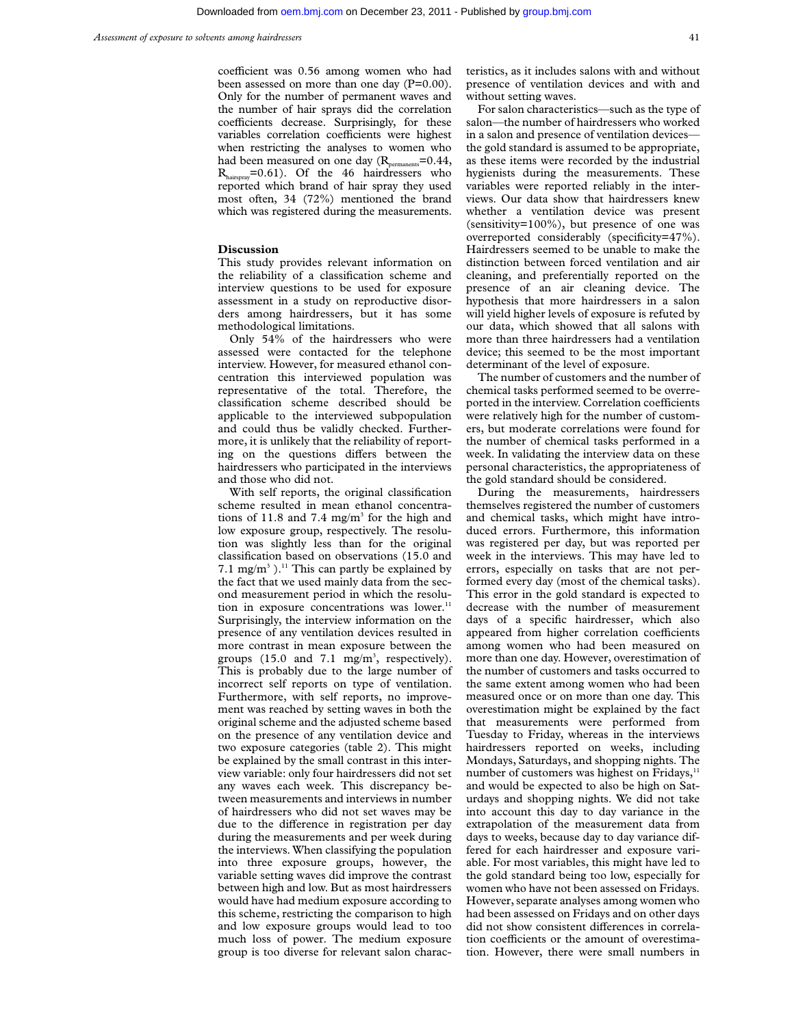coefficient was 0.56 among women who had been assessed on more than one day (P=0.00). Only for the number of permanent waves and the number of hair sprays did the correlation coefficients decrease. Surprisingly, for these variables correlation coefficients were highest when restricting the analyses to women who had been measured on one day  $(R_{\text{permanents}}=0.44,$  $R<sub>hairsprav</sub> = 0.61$ . Of the 46 hairdressers who reported which brand of hair spray they used most often, 34 (72%) mentioned the brand which was registered during the measurements.

#### **Discussion**

This study provides relevant information on the reliability of a classification scheme and interview questions to be used for exposure assessment in a study on reproductive disorders among hairdressers, but it has some methodological limitations.

Only 54% of the hairdressers who were assessed were contacted for the telephone interview. However, for measured ethanol concentration this interviewed population was representative of the total. Therefore, the classification scheme described should be applicable to the interviewed subpopulation and could thus be validly checked. Furthermore, it is unlikely that the reliability of reporting on the questions differs between the hairdressers who participated in the interviews and those who did not.

With self reports, the original classification scheme resulted in mean ethanol concentrations of 11.8 and 7.4 mg/m<sup>3</sup> for the high and low exposure group, respectively. The resolution was slightly less than for the original classification based on observations (15.0 and 7.1 mg/m<sup>3</sup>).<sup>11</sup> This can partly be explained by the fact that we used mainly data from the second measurement period in which the resolution in exposure concentrations was lower.<sup>11</sup> Surprisingly, the interview information on the presence of any ventilation devices resulted in more contrast in mean exposure between the groups (15.0 and 7.1 mg/m<sup>3</sup>, respectively). This is probably due to the large number of incorrect self reports on type of ventilation. Furthermore, with self reports, no improvement was reached by setting waves in both the original scheme and the adjusted scheme based on the presence of any ventilation device and two exposure categories (table 2). This might be explained by the small contrast in this interview variable: only four hairdressers did not set any waves each week. This discrepancy between measurements and interviews in number of hairdressers who did not set waves may be due to the difference in registration per day during the measurements and per week during the interviews. When classifying the population into three exposure groups, however, the variable setting waves did improve the contrast between high and low. But as most hairdressers would have had medium exposure according to this scheme, restricting the comparison to high and low exposure groups would lead to too much loss of power. The medium exposure group is too diverse for relevant salon charac-

teristics, as it includes salons with and without presence of ventilation devices and with and without setting waves.

For salon characteristics—such as the type of salon—the number of hairdressers who worked in a salon and presence of ventilation devices the gold standard is assumed to be appropriate, as these items were recorded by the industrial hygienists during the measurements. These variables were reported reliably in the interviews. Our data show that hairdressers knew whether a ventilation device was present (sensitivity=100%), but presence of one was overreported considerably (specificity=47%). Hairdressers seemed to be unable to make the distinction between forced ventilation and air cleaning, and preferentially reported on the presence of an air cleaning device. The hypothesis that more hairdressers in a salon will yield higher levels of exposure is refuted by our data, which showed that all salons with more than three hairdressers had a ventilation device; this seemed to be the most important determinant of the level of exposure.

The number of customers and the number of chemical tasks performed seemed to be overreported in the interview. Correlation coefficients were relatively high for the number of customers, but moderate correlations were found for the number of chemical tasks performed in a week. In validating the interview data on these personal characteristics, the appropriateness of the gold standard should be considered.

During the measurements, hairdressers themselves registered the number of customers and chemical tasks, which might have introduced errors. Furthermore, this information was registered per day, but was reported per week in the interviews. This may have led to errors, especially on tasks that are not performed every day (most of the chemical tasks). This error in the gold standard is expected to decrease with the number of measurement days of a specific hairdresser, which also appeared from higher correlation coefficients among women who had been measured on more than one day. However, overestimation of the number of customers and tasks occurred to the same extent among women who had been measured once or on more than one day. This overestimation might be explained by the fact that measurements were performed from Tuesday to Friday, whereas in the interviews hairdressers reported on weeks, including Mondays, Saturdays, and shopping nights. The number of customers was highest on Fridays,<sup>1</sup> and would be expected to also be high on Saturdays and shopping nights. We did not take into account this day to day variance in the extrapolation of the measurement data from days to weeks, because day to day variance differed for each hairdresser and exposure variable. For most variables, this might have led to the gold standard being too low, especially for women who have not been assessed on Fridays. However, separate analyses among women who had been assessed on Fridays and on other days did not show consistent differences in correlation coefficients or the amount of overestimation. However, there were small numbers in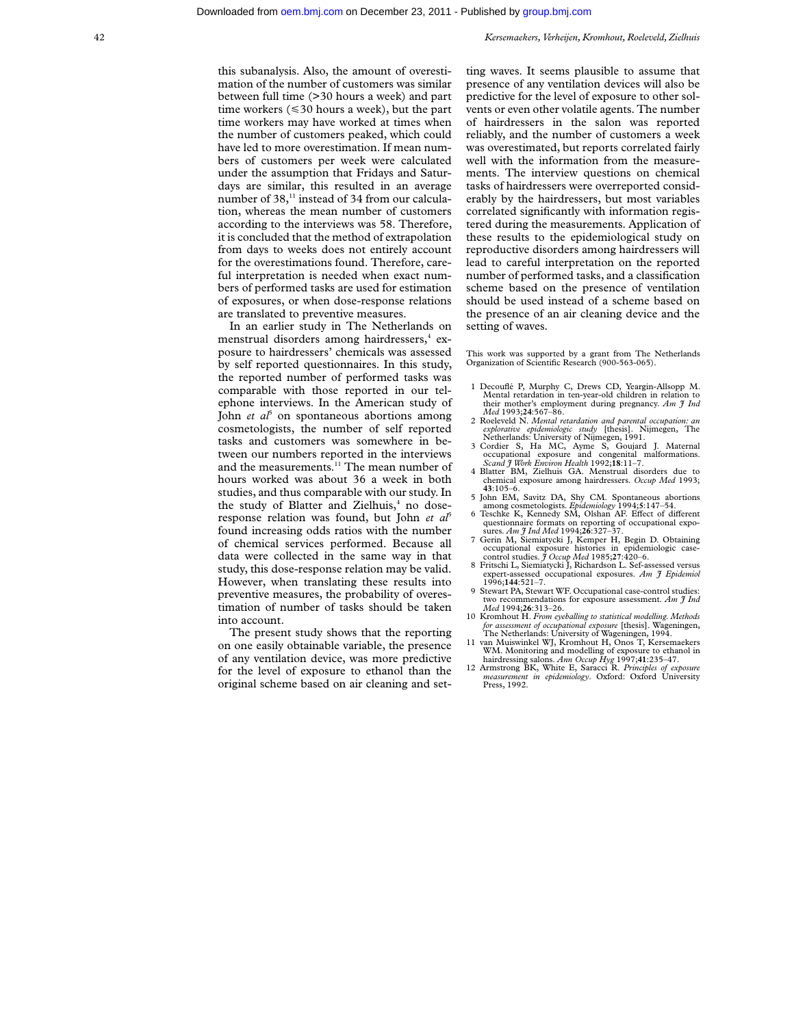this subanalysis. Also, the amount of overestimation of the number of customers was similar between full time (>30 hours a week) and part time workers  $(\leq 30$  hours a week), but the part time workers may have worked at times when the number of customers peaked, which could have led to more overestimation. If mean numbers of customers per week were calculated under the assumption that Fridays and Saturdays are similar, this resulted in an average number of 38,<sup>11</sup> instead of 34 from our calculation, whereas the mean number of customers according to the interviews was 58. Therefore, it is concluded that the method of extrapolation from days to weeks does not entirely account for the overestimations found. Therefore, careful interpretation is needed when exact numbers of performed tasks are used for estimation of exposures, or when dose-response relations are translated to preventive measures.

In an earlier study in The Netherlands on menstrual disorders among hairdressers,<sup>4</sup> exposure to hairdressers' chemicals was assessed by self reported questionnaires. In this study, the reported number of performed tasks was comparable with those reported in our telephone interviews. In the American study of John *et al*<sup>5</sup> on spontaneous abortions among cosmetologists, the number of self reported tasks and customers was somewhere in between our numbers reported in the interviews and the measurements.<sup>11</sup> The mean number of hours worked was about 36 a week in both studies, and thus comparable with our study. In the study of Blatter and Zielhuis,<sup>4</sup> no doseresponse relation was found, but John *et al*<sup>5</sup> found increasing odds ratios with the number of chemical services performed. Because all data were collected in the same way in that study, this dose-response relation may be valid. However, when translating these results into preventive measures, the probability of overestimation of number of tasks should be taken into account.

The present study shows that the reporting on one easily obtainable variable, the presence of any ventilation device, was more predictive for the level of exposure to ethanol than the original scheme based on air cleaning and setting waves. It seems plausible to assume that presence of any ventilation devices will also be predictive for the level of exposure to other solvents or even other volatile agents. The number of hairdressers in the salon was reported reliably, and the number of customers a week was overestimated, but reports correlated fairly well with the information from the measurements. The interview questions on chemical tasks of hairdressers were overreported considerably by the hairdressers, but most variables correlated significantly with information registered during the measurements. Application of these results to the epidemiological study on reproductive disorders among hairdressers will lead to careful interpretation on the reported number of performed tasks, and a classification scheme based on the presence of ventilation should be used instead of a scheme based on the presence of an air cleaning device and the setting of waves.

This work was supported by a grant from The Netherlands Organization of Scientific Research (900-563-065).

- 1 Decouflé P, Murphy C, Drews CD, Yeargin-Allsopp M. Mental retardation in ten-year-old children in relation to their mother's employment during pregnancy. *Am J Ind Med* 1993;**24**:567–86.
- 2 Roeleveld N. *Mental retardation and parental occupation: an explorative epidemiologic study* [thesis]. Nijmegen, The Netherlands: University of Nijmegen, 1991.
- 3 Cordier S, Ha MC, Ayme S, Goujard J. Maternal occupational exposure and congenital malformations. *Scand J Work Environ Health* 1992;**18**:11–7. 4 Blatter BM, Zielhuis GA. Menstrual disorders due to
- chemical exposure among hairdressers. *Occup Med* 1993; **43**:105–6.
- 5 John EM, Savitz DA, Shy CM. Spontaneous abortions<br>among cosmetologists. *Epidemiology* 1994;5:147–54.<br>6 Teschke K, Kennedy SM, Olshan AF. Effect of different
- questionnaire formats on reporting of occupational expo-sures. *Am J Ind Med* 1994;**26**:327–37.
- Gerin M, Siemiatycki J, Kemper H, Begin D. Obtaining occupational exposure histories in epidemiologic casecontrol studies. *J Occup Med* 1985;**27**:420–6.
- 8 Fritschi L, Siemiatycki J, Richardson L. Sef-assessed versus expert-assessed occupational exposures. *Am J Epidemiol* 1996;**144**:521–7.
- 9 Stewart PA, Stewart WF. Occupational case-control studies: two recommendations for exposure assessment. *Am J Ind Med* 1994;**26**:313–26.
- 10 Kromhout H. *From eyeballing to statistical modelling. Methods for assessment of occupational exposure* [thesis]. Wageningen, The Netherlands: University of Wageningen, 1994.
- van Muiswinkel WJ, Kromhout H, Onos T, Kersemaekers WM. Monitoring and modelling of exposure to ethanol in hairdressing salons. *Ann Occup Hyg* 1997;41:235–47.<br>12 Armstrong BK, White E, Saracci R. *Principles of exposure*
- *measurement in epidemiology*. Oxford: Oxford University Press, 1992.